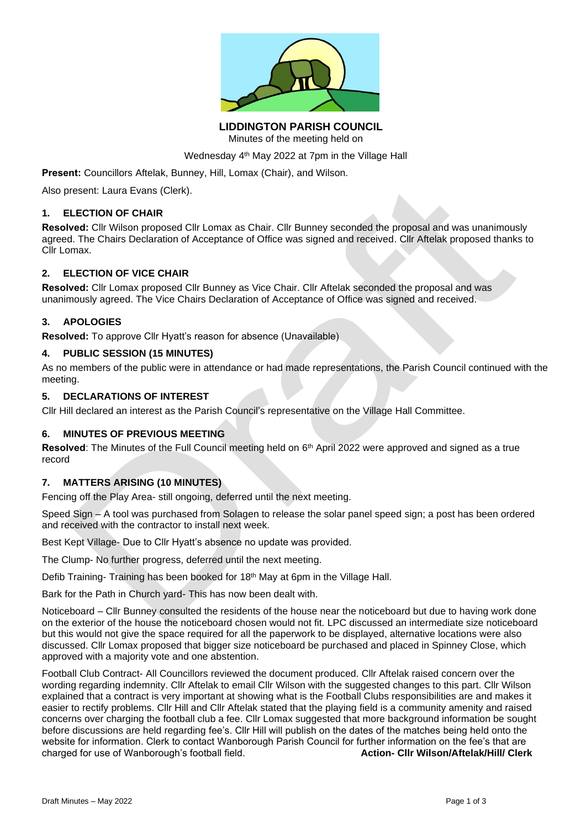

**LIDDINGTON PARISH COUNCIL** Minutes of the meeting held on

Wednesday 4<sup>th</sup> May 2022 at 7pm in the Village Hall

**Present:** Councillors Aftelak, Bunney, Hill, Lomax (Chair), and Wilson.

Also present: Laura Evans (Clerk).

#### **1. ELECTION OF CHAIR**

**Resolved:** Cllr Wilson proposed Cllr Lomax as Chair. Cllr Bunney seconded the proposal and was unanimously agreed. The Chairs Declaration of Acceptance of Office was signed and received. Cllr Aftelak proposed thanks to Cllr Lomax.

#### **2. ELECTION OF VICE CHAIR**

**Resolved:** Cllr Lomax proposed Cllr Bunney as Vice Chair. Cllr Aftelak seconded the proposal and was unanimously agreed. The Vice Chairs Declaration of Acceptance of Office was signed and received.

#### **3. APOLOGIES**

**Resolved:** To approve Cllr Hyatt's reason for absence (Unavailable)

#### **4. PUBLIC SESSION (15 MINUTES)**

As no members of the public were in attendance or had made representations, the Parish Council continued with the meeting.

#### **5. DECLARATIONS OF INTEREST**

Cllr Hill declared an interest as the Parish Council's representative on the Village Hall Committee.

## **6. MINUTES OF PREVIOUS MEETING**

Resolved: The Minutes of the Full Council meeting held on 6<sup>th</sup> April 2022 were approved and signed as a true record

## **7. MATTERS ARISING (10 MINUTES)**

Fencing off the Play Area- still ongoing, deferred until the next meeting.

Speed Sign – A tool was purchased from Solagen to release the solar panel speed sign; a post has been ordered and received with the contractor to install next week.

Best Kept Village- Due to Cllr Hyatt's absence no update was provided.

The Clump- No further progress, deferred until the next meeting.

Defib Training- Training has been booked for 18<sup>th</sup> May at 6pm in the Village Hall.

Bark for the Path in Church yard- This has now been dealt with.

Noticeboard – Cllr Bunney consulted the residents of the house near the noticeboard but due to having work done on the exterior of the house the noticeboard chosen would not fit. LPC discussed an intermediate size noticeboard but this would not give the space required for all the paperwork to be displayed, alternative locations were also discussed. Cllr Lomax proposed that bigger size noticeboard be purchased and placed in Spinney Close, which approved with a majority vote and one abstention.

Football Club Contract- All Councillors reviewed the document produced. Cllr Aftelak raised concern over the wording regarding indemnity. Cllr Aftelak to email Cllr Wilson with the suggested changes to this part. Cllr Wilson explained that a contract is very important at showing what is the Football Clubs responsibilities are and makes it easier to rectify problems. Cllr Hill and Cllr Aftelak stated that the playing field is a community amenity and raised concerns over charging the football club a fee. Cllr Lomax suggested that more background information be sought before discussions are held regarding fee's. Cllr Hill will publish on the dates of the matches being held onto the website for information. Clerk to contact Wanborough Parish Council for further information on the fee's that are charged for use of Wanborough's football field. **Action- Cllr Wilson/Aftelak/Hill/ Clerk**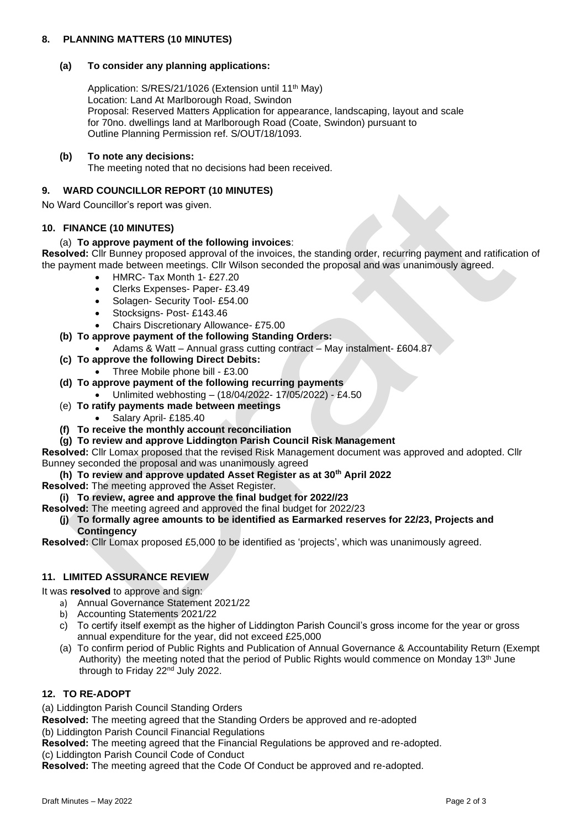# **8. PLANNING MATTERS (10 MINUTES)**

## **(a) To consider any planning applications:**

Application: S/RES/21/1026 (Extension until 11<sup>th</sup> May) Location: Land At Marlborough Road, Swindon Proposal: Reserved Matters Application for appearance, landscaping, layout and scale for 70no. dwellings land at Marlborough Road (Coate, Swindon) pursuant to Outline Planning Permission ref. S/OUT/18/1093.

## **(b) To note any decisions:**

The meeting noted that no decisions had been received.

# **9. WARD COUNCILLOR REPORT (10 MINUTES)**

No Ward Councillor's report was given.

## **10. FINANCE (10 MINUTES)**

## (a) **To approve payment of the following invoices**:

**Resolved:** Cllr Bunney proposed approval of the invoices, the standing order, recurring payment and ratification of the payment made between meetings. Cllr Wilson seconded the proposal and was unanimously agreed.

- HMRC- Tax Month 1- £27.20
- Clerks Expenses- Paper- £3.49
- Solagen- Security Tool- £54.00
- Stocksigns- Post-£143.46
- Chairs Discretionary Allowance- £75.00
- **(b) To approve payment of the following Standing Orders:**
	- Adams & Watt Annual grass cutting contract May instalment- £604.87
- **(c) To approve the following Direct Debits:**
	- Three Mobile phone bill £3.00
- **(d) To approve payment of the following recurring payments**
	- Unlimited webhosting (18/04/2022- 17/05/2022) £4.50
- (e) **To ratify payments made between meetings**
	- Salary April- £185.40
- **(f) To receive the monthly account reconciliation**
- **(g) To review and approve Liddington Parish Council Risk Management**

**Resolved:** Cllr Lomax proposed that the revised Risk Management document was approved and adopted. Cllr Bunney seconded the proposal and was unanimously agreed

- **(h) To review and approve updated Asset Register as at 30th April 2022**
- **Resolved:** The meeting approved the Asset Register.
- **(i) To review, agree and approve the final budget for 2022//23**

**Resolved:** The meeting agreed and approved the final budget for 2022/23

#### **(j) To formally agree amounts to be identified as Earmarked reserves for 22/23, Projects and Contingency**

**Resolved:** Cllr Lomax proposed £5,000 to be identified as 'projects', which was unanimously agreed.

## **11. LIMITED ASSURANCE REVIEW**

It was **resolved** to approve and sign:

- a) Annual Governance Statement 2021/22
- b) Accounting Statements 2021/22
- c) To certify itself exempt as the higher of Liddington Parish Council's gross income for the year or gross annual expenditure for the year, did not exceed £25,000
- (a) To confirm period of Public Rights and Publication of Annual Governance & Accountability Return (Exempt Authority) the meeting noted that the period of Public Rights would commence on Monday 13th June through to Friday 22nd July 2022.

# **12. TO RE-ADOPT**

(a) Liddington Parish Council Standing Orders

**Resolved:** The meeting agreed that the Standing Orders be approved and re-adopted

(b) Liddington Parish Council Financial Regulations

**Resolved:** The meeting agreed that the Financial Regulations be approved and re-adopted.

(c) Liddington Parish Council Code of Conduct

**Resolved:** The meeting agreed that the Code Of Conduct be approved and re-adopted.